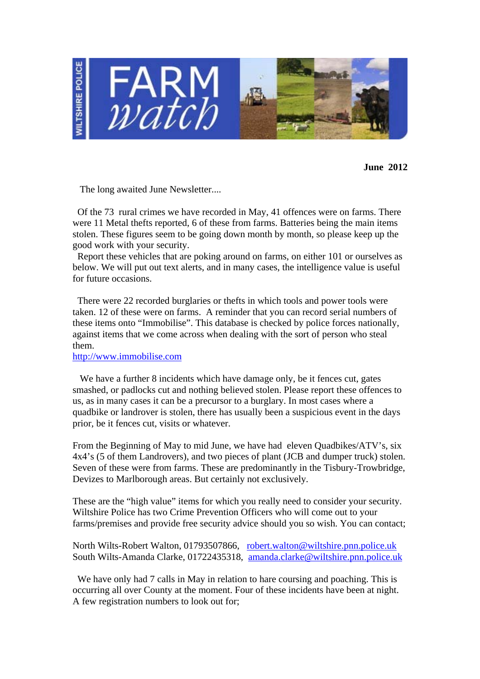

**June 2012** 

The long awaited June Newsletter....

 Of the 73 rural crimes we have recorded in May, 41 offences were on farms. There were 11 Metal thefts reported, 6 of these from farms. Batteries being the main items stolen. These figures seem to be going down month by month, so please keep up the good work with your security.

 Report these vehicles that are poking around on farms, on either 101 or ourselves as below. We will put out text alerts, and in many cases, the intelligence value is useful for future occasions.

 There were 22 recorded burglaries or thefts in which tools and power tools were taken. 12 of these were on farms. A reminder that you can record serial numbers of these items onto "Immobilise". This database is checked by police forces nationally, against items that we come across when dealing with the sort of person who steal them.

http://www.immobilise.com

 We have a further 8 incidents which have damage only, be it fences cut, gates smashed, or padlocks cut and nothing believed stolen. Please report these offences to us, as in many cases it can be a precursor to a burglary. In most cases where a quadbike or landrover is stolen, there has usually been a suspicious event in the days prior, be it fences cut, visits or whatever.

From the Beginning of May to mid June, we have had eleven Quadbikes/ATV's, six 4x4's (5 of them Landrovers), and two pieces of plant (JCB and dumper truck) stolen. Seven of these were from farms. These are predominantly in the Tisbury-Trowbridge, Devizes to Marlborough areas. But certainly not exclusively.

These are the "high value" items for which you really need to consider your security. Wiltshire Police has two Crime Prevention Officers who will come out to your farms/premises and provide free security advice should you so wish. You can contact;

North Wilts-Robert Walton, 01793507866, robert.walton@wiltshire.pnn.police.uk South Wilts-Amanda Clarke, 01722435318, amanda.clarke@wiltshire.pnn.police.uk

We have only had 7 calls in May in relation to hare coursing and poaching. This is occurring all over County at the moment. Four of these incidents have been at night. A few registration numbers to look out for;